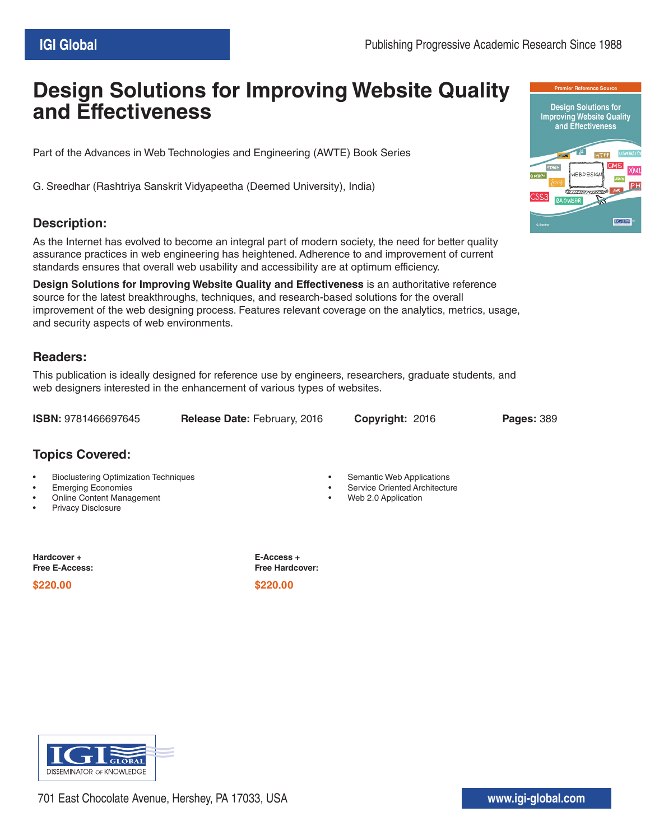## **Design Solutions for Improving Website Quality and Effectiveness**

Part of the Advances in Web Technologies and Engineering (AWTE) Book Series

G. Sreedhar (Rashtriya Sanskrit Vidyapeetha (Deemed University), India)

## **Description:**

As the Internet has evolved to become an integral part of modern society, the need for better quality assurance practices in web engineering has heightened. Adherence to and improvement of current standards ensures that overall web usability and accessibility are at optimum efficiency.

**Design Solutions for Improving Website Quality and Effectiveness** is an authoritative reference source for the latest breakthroughs, techniques, and research-based solutions for the overall improvement of the web designing process. Features relevant coverage on the analytics, metrics, usage, and security aspects of web environments.

## **Readers:**

This publication is ideally designed for reference use by engineers, researchers, graduate students, and web designers interested in the enhancement of various types of websites.

**ISBN:** 9781466697645 **Release Date:** February, 2016 **Copyright:** 2016 **Pages:** 389

**Topics Covered:**

- Bioclustering Optimization Techniques
- Emerging Economies
- Online Content Management
- Privacy Disclosure

**Hardcover + Free E-Access:**

**\$220.00 \$220.00**

**E-Access + Free Hardcover:**









- Service Oriented Architecture
- Web 2.0 Application